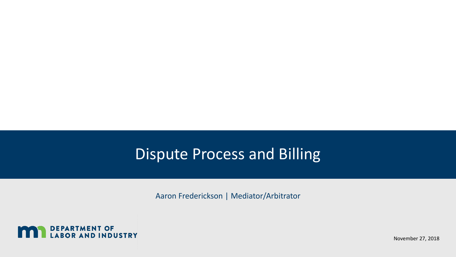#### Dispute Process and Billing

Aaron Frederickson | Mediator/Arbitrator



November 27, 2018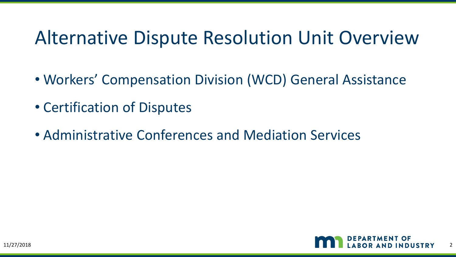#### Alternative Dispute Resolution Unit Overview

- Workers' Compensation Division (WCD) General Assistance
- Certification of Disputes
- Administrative Conferences and Mediation Services

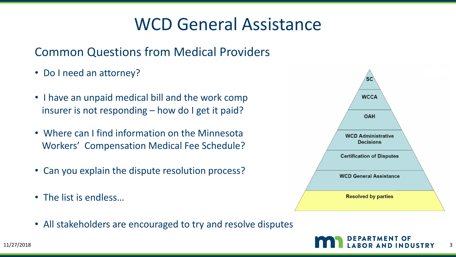#### WCD General Assistance

#### Common Questions from Medical Providers

- Do I need an attorney?
- I have an unpaid medical bill and the work comp insurer is not responding – how do I get it paid?
- Where can I find information on the Minnesota Workers' Compensation Medical Fee Schedule?
- Can you explain the dispute resolution process?
- The list is endless…
- All stakeholders are encouraged to try and resolve disputes



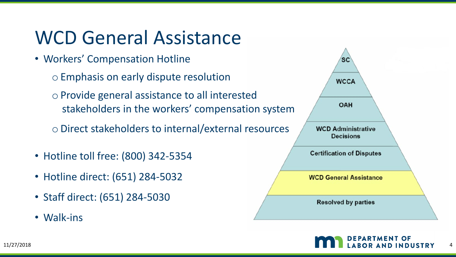#### WCD General Assistance

- Workers' Compensation Hotline
	- o Emphasis on early dispute resolution
	- o Provide general assistance to all interested stakeholders in the workers' compensation system
	- oDirect stakeholders to internal/external resources
- Hotline toll free: (800) 342-5354
- Hotline direct: (651) 284-5032
- Staff direct: (651) 284-5030
- Walk-ins



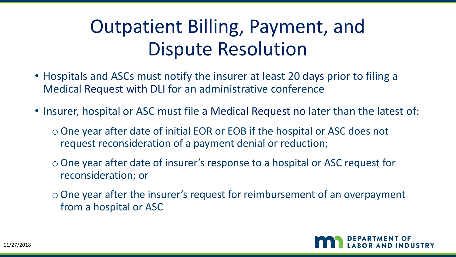## Outpatient Billing, Payment, and Dispute Resolution

- Hospitals and ASCs must notify the insurer at least 20 days prior to filing a Medical Request with DLI for an administrative conference
- Insurer, hospital or ASC must file a Medical Request no later than the latest of:
	- oOne year after date of initial EOR or EOB if the hospital or ASC does not request reconsideration of a payment denial or reduction;
	- oOne year after date of insurer's response to a hospital or ASC request for reconsideration; or
	- $\circ$  One year after the insurer's request for reimbursement of an overpayment from a hospital or ASC

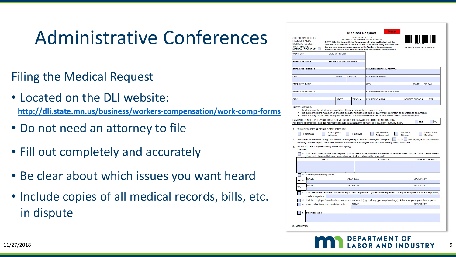#### Administrative Conferences

- Filing the Medical Request
- Located on the DLI website: **<http://dli.state.mn.us/business/workers-compensation/work-comp-forms>**
- Do not need an attorney to file
- Fill out completely and accurately
- Be clear about which issues you want heard
- Include copies of all medical records, bills, etc. in dispute

| CHECK BOX IF THIS<br><b>REQUEST ADDS</b><br><b>MEDICAL ISSUES</b><br><b>TO A PENDING</b><br><b>MEDICAL REQUEST</b>                                                                                                                                                                                                                                                | <b>Medical Request</b><br>PRINT IN INK or TYPE<br>ENTER DATES in MM/DD/YYYY FORMAT | Reset<br>NOTE: File this form with the Department of Labor and Industry at the<br>address or fax number at the end of this form. Before filing this form, call<br>the workers' compensation insurer or the Workers' Compensation<br>Alternative Dispute Resolution Unit at (651) 284-5032 or 1-800-342-5354. |                       | DO NOT USE THIS SPACE               |                                |
|-------------------------------------------------------------------------------------------------------------------------------------------------------------------------------------------------------------------------------------------------------------------------------------------------------------------------------------------------------------------|------------------------------------------------------------------------------------|--------------------------------------------------------------------------------------------------------------------------------------------------------------------------------------------------------------------------------------------------------------------------------------------------------------|-----------------------|-------------------------------------|--------------------------------|
| WID or SSN<br>DATE OF INJURY                                                                                                                                                                                                                                                                                                                                      |                                                                                    |                                                                                                                                                                                                                                                                                                              |                       |                                     |                                |
| <b>EMPLOYEE NAME</b><br>PHONE # (include area code)                                                                                                                                                                                                                                                                                                               |                                                                                    |                                                                                                                                                                                                                                                                                                              |                       |                                     |                                |
| <b>EMPLOYEE ADDRESS</b>                                                                                                                                                                                                                                                                                                                                           |                                                                                    | INSURER/SELF-INSURER/TPA                                                                                                                                                                                                                                                                                     |                       |                                     |                                |
| <b>STATE</b><br>CITY                                                                                                                                                                                                                                                                                                                                              | ZIP Code                                                                           | <b>INSURER ADDRESS</b>                                                                                                                                                                                                                                                                                       |                       |                                     |                                |
| <b>EMPLOYER NAME</b>                                                                                                                                                                                                                                                                                                                                              |                                                                                    | CITY                                                                                                                                                                                                                                                                                                         |                       | <b>STATE</b>                        | ZIP Code                       |
| <b>EMPLOYER ADDRESS</b>                                                                                                                                                                                                                                                                                                                                           |                                                                                    | CLAIM REPRESENTATIVE NAME                                                                                                                                                                                                                                                                                    |                       |                                     |                                |
| <b>STATE</b><br><b>CITY</b>                                                                                                                                                                                                                                                                                                                                       | ZIP Code                                                                           | <b>INSURER CLAIM#</b>                                                                                                                                                                                                                                                                                        |                       | <b>INSURER PHONE#</b>               | EXT                            |
| 1. THIS REQUEST IS BEING COMPLETED BY:<br>Employee's<br>Employee<br>Attorney<br>2. Are medical services being provided or managed by a certified managed care plan?<br>showing that the dispute resolution process of the certified managed care plan has already been exhausted.<br>MEDICAL ISSUES (check only those that apply)<br>3 <sub>1</sub><br>I request: | Employer                                                                           | Insurer/TPA<br>Self-insured                                                                                                                                                                                                                                                                                  | Insurer's<br>Attorney | YES   NO If yes, attach information | <b>Health Care</b><br>Provider |
| a. that health care provider bills be paid. (List all health care providers whose bills or services are in dispute. Attach extra sheets<br>if needed. Itemized bills and supporting medical reports must be attached.)                                                                                                                                            |                                                                                    |                                                                                                                                                                                                                                                                                                              |                       |                                     |                                |
| <b>NAME</b>                                                                                                                                                                                                                                                                                                                                                       |                                                                                    | <b>ADDRESS</b>                                                                                                                                                                                                                                                                                               |                       | <b>UNPAID BALANCE</b>               |                                |
|                                                                                                                                                                                                                                                                                                                                                                   |                                                                                    |                                                                                                                                                                                                                                                                                                              |                       |                                     |                                |
| b. a change of treating doctor:                                                                                                                                                                                                                                                                                                                                   |                                                                                    |                                                                                                                                                                                                                                                                                                              |                       |                                     |                                |
| <b>NAME</b><br>FROM:                                                                                                                                                                                                                                                                                                                                              | <b>ADDRESS</b>                                                                     |                                                                                                                                                                                                                                                                                                              |                       | <b>SPECIALTY</b>                    |                                |
| <b>NAME</b><br>TO:                                                                                                                                                                                                                                                                                                                                                | <b>ADDRESS</b>                                                                     |                                                                                                                                                                                                                                                                                                              |                       | <b>SPECIALTY</b>                    |                                |
| that prescribed treatment, surgery or equipment be provided. (Specify the requested surgery or equipment & attach supporting<br>medical reports.)<br>that the employee's medical expenses be reimbursed (e.g., mileage, prescription drugs). Attach supporting medical reports.<br>a second opinion or consultation with                                          | <b>NAME</b>                                                                        |                                                                                                                                                                                                                                                                                                              |                       | <b>SPECIALTY</b>                    |                                |
| other (explain):<br>MN MQ03 (6/18)                                                                                                                                                                                                                                                                                                                                |                                                                                    |                                                                                                                                                                                                                                                                                                              |                       |                                     |                                |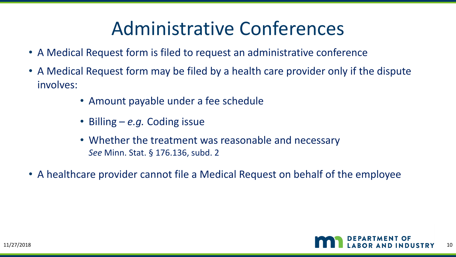#### Administrative Conferences

- A Medical Request form is filed to request an administrative conference
- A Medical Request form may be filed by a health care provider only if the dispute involves:
	- Amount payable under a fee schedule
	- Billing *e.g.* Coding issue
	- Whether the treatment was reasonable and necessary *See* Minn. Stat. § 176.136, subd. 2
- A healthcare provider cannot file a Medical Request on behalf of the employee

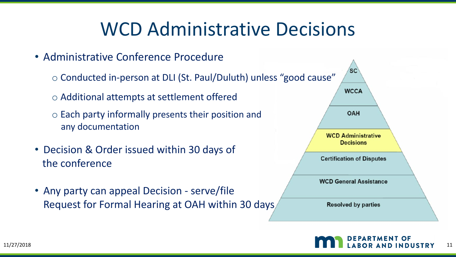#### WCD Administrative Decisions

• Administrative Conference Procedure

o Conducted in-person at DLI (St. Paul/Duluth) unless "good cause"

o Additional attempts at settlement offered

o Each party informally presents their position and any documentation

- Decision & Order issued within 30 days of the conference
- Any party can appeal Decision serve/file Request for Formal Hearing at OAH within 30 days

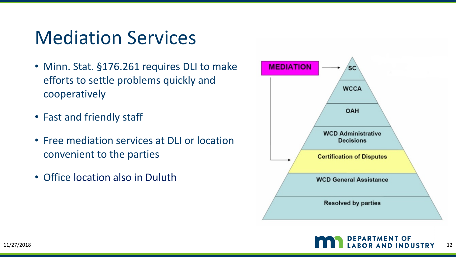#### Mediation Services

- Minn. Stat. §176.261 requires DLI to make efforts to settle problems quickly and cooperatively
- Fast and friendly staff
- Free mediation services at DLI or location convenient to the parties
- Office location also in Duluth



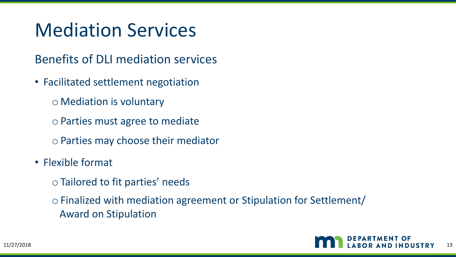### Mediation Services

Benefits of DLI mediation services

- Facilitated settlement negotiation
	- o Mediation is voluntary
	- o Parties must agree to mediate
	- o Parties may choose their mediator
- Flexible format
	- o Tailored to fit parties' needs

o Finalized with mediation agreement or Stipulation for Settlement/ Award on Stipulation